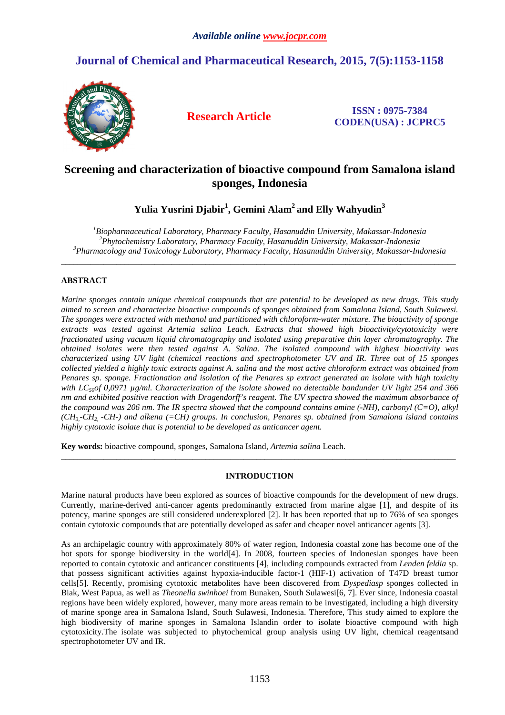# **Journal of Chemical and Pharmaceutical Research, 2015, 7(5):1153-1158**



**Research Article ISSN : 0975-7384 CODEN(USA) : JCPRC5**

# **Screening and characterization of bioactive compound from Samalona island sponges, Indonesia**

**Yulia Yusrini Djabir<sup>1</sup> , Gemini Alam<sup>2</sup>and Elly Wahyudin<sup>3</sup>**

*<sup>1</sup>Biopharmaceutical Laboratory, Pharmacy Faculty, Hasanuddin University, Makassar-Indonesia <sup>2</sup>Phytochemistry Laboratory, Pharmacy Faculty, Hasanuddin University, Makassar-Indonesia <sup>3</sup>Pharmacology and Toxicology Laboratory, Pharmacy Faculty, Hasanuddin University, Makassar-Indonesia* 

\_\_\_\_\_\_\_\_\_\_\_\_\_\_\_\_\_\_\_\_\_\_\_\_\_\_\_\_\_\_\_\_\_\_\_\_\_\_\_\_\_\_\_\_\_\_\_\_\_\_\_\_\_\_\_\_\_\_\_\_\_\_\_\_\_\_\_\_\_\_\_\_\_\_\_\_\_\_\_\_\_\_\_\_\_\_\_\_\_\_\_\_\_

## **ABSTRACT**

*Marine sponges contain unique chemical compounds that are potential to be developed as new drugs. This study aimed to screen and characterize bioactive compounds of sponges obtained from Samalona Island, South Sulawesi. The sponges were extracted with methanol and partitioned with chloroform-water mixture. The bioactivity of sponge extracts was tested against Artemia salina Leach. Extracts that showed high bioactivity/cytotoxicity were fractionated using vacuum liquid chromatography and isolated using preparative thin layer chromatography. The obtained isolates were then tested against A. Salina. The isolated compound with highest bioactivity was characterized using UV light (chemical reactions and spectrophotometer UV and IR. Three out of 15 sponges collected yielded a highly toxic extracts against A. salina and the most active chloroform extract was obtained from Penares sp. sponge. Fractionation and isolation of the Penares sp extract generated an isolate with high toxicity with LC<sub>50</sub>of 0,0971 µg/ml. Characterization of the isolate showed no detectable bandunder UV light 254 and 366 nm and exhibited positive reaction with Dragendorff's reagent. The UV spectra showed the maximum absorbance of the compound was 206 nm. The IR spectra showed that the compound contains amine (-NH), carbonyl (C=O), alkyl (CH3,-CH2, -CH-) and alkena (=CH) groups. In conclusion, Penares sp. obtained from Samalona island contains highly cytotoxic isolate that is potential to be developed as anticancer agent.* 

**Key words:** bioactive compound, sponges, Samalona Island, *Artemia salina* Leach.

## **INTRODUCTION**

\_\_\_\_\_\_\_\_\_\_\_\_\_\_\_\_\_\_\_\_\_\_\_\_\_\_\_\_\_\_\_\_\_\_\_\_\_\_\_\_\_\_\_\_\_\_\_\_\_\_\_\_\_\_\_\_\_\_\_\_\_\_\_\_\_\_\_\_\_\_\_\_\_\_\_\_\_\_\_\_\_\_\_\_\_\_\_\_\_\_\_\_\_

Marine natural products have been explored as sources of bioactive compounds for the development of new drugs. Currently, marine-derived anti-cancer agents predominantly extracted from marine algae [1], and despite of its potency, marine sponges are still considered underexplored [2]. It has been reported that up to 76% of sea sponges contain cytotoxic compounds that are potentially developed as safer and cheaper novel anticancer agents [3].

As an archipelagic country with approximately 80% of water region, Indonesia coastal zone has become one of the hot spots for sponge biodiversity in the world[4]. In 2008, fourteen species of Indonesian sponges have been reported to contain cytotoxic and anticancer constituents [4], including compounds extracted from *Lenden feldia* sp. that possess significant activities against hypoxia-inducible factor-1 (HIF-1) activation of T47D breast tumor cells[5]. Recently, promising cytotoxic metabolites have been discovered from *Dyspediasp* sponges collected in Biak, West Papua, as well as *Theonella swinhoei* from Bunaken, South Sulawesi[6, 7]. Ever since, Indonesia coastal regions have been widely explored, however, many more areas remain to be investigated, including a high diversity of marine sponge area in Samalona Island, South Sulawesi, Indonesia. Therefore, This study aimed to explore the high biodiversity of marine sponges in Samalona Islandin order to isolate bioactive compound with high cytotoxicity.The isolate was subjected to phytochemical group analysis using UV light, chemical reagentsand spectrophotometer UV and IR.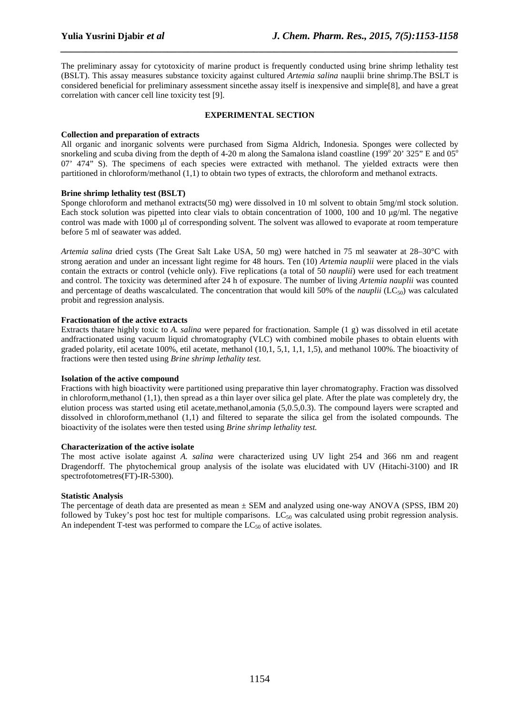The preliminary assay for cytotoxicity of marine product is frequently conducted using brine shrimp lethality test (BSLT). This assay measures substance toxicity against cultured *Artemia salina* nauplii brine shrimp.The BSLT is considered beneficial for preliminary assessment sincethe assay itself is inexpensive and simple[8], and have a great correlation with cancer cell line toxicity test [9].

*\_\_\_\_\_\_\_\_\_\_\_\_\_\_\_\_\_\_\_\_\_\_\_\_\_\_\_\_\_\_\_\_\_\_\_\_\_\_\_\_\_\_\_\_\_\_\_\_\_\_\_\_\_\_\_\_\_\_\_\_\_\_\_\_\_\_\_\_\_\_\_\_\_\_\_\_\_\_*

## **EXPERIMENTAL SECTION**

#### **Collection and preparation of extracts**

All organic and inorganic solvents were purchased from Sigma Aldrich, Indonesia. Sponges were collected by snorkeling and scuba diving from the depth of 4-20 m along the Samalona island coastline (199 $^{\circ}$  20' 325" E and 05 $^{\circ}$ 07' 474" S). The specimens of each species were extracted with methanol. The yielded extracts were then partitioned in chloroform/methanol (1,1) to obtain two types of extracts, the chloroform and methanol extracts.

## **Brine shrimp lethality test (BSLT)**

Sponge chloroform and methanol extracts(50 mg) were dissolved in 10 ml solvent to obtain 5mg/ml stock solution. Each stock solution was pipetted into clear vials to obtain concentration of 1000, 100 and 10 µg/ml. The negative control was made with 1000 µl of corresponding solvent. The solvent was allowed to evaporate at room temperature before 5 ml of seawater was added.

*Artemia salina* dried cysts (The Great Salt Lake USA, 50 mg) were hatched in 75 ml seawater at 28–30°C with strong aeration and under an incessant light regime for 48 hours. Ten (10) *Artemia nauplii* were placed in the vials contain the extracts or control (vehicle only). Five replications (a total of 50 *nauplii*) were used for each treatment and control. The toxicity was determined after 24 h of exposure. The number of living *Artemia nauplii* was counted and percentage of deaths wascalculated. The concentration that would kill 50% of the *nauplii*  $(LC_{50})$  was calculated probit and regression analysis.

## **Fractionation of the active extracts**

Extracts thatare highly toxic to *A. salina* were pepared for fractionation. Sample (1 g) was dissolved in etil acetate andfractionated using vacuum liquid chromatography (VLC) with combined mobile phases to obtain eluents with graded polarity, etil acetate 100%, etil acetate, methanol (10,1, 5,1, 1,1, 1,5), and methanol 100%. The bioactivity of fractions were then tested using *Brine shrimp lethality test.* 

## **Isolation of the active compound**

Fractions with high bioactivity were partitioned using preparative thin layer chromatography. Fraction was dissolved in chloroform,methanol (1,1), then spread as a thin layer over silica gel plate. After the plate was completely dry, the elution process was started using etil acetate,methanol,amonia (5,0.5,0.3). The compound layers were scrapted and dissolved in chloroform,methanol (1,1) and filtered to separate the silica gel from the isolated compounds. The bioactivity of the isolates were then tested using *Brine shrimp lethality test.*

## **Characterization of the active isolate**

The most active isolate against *A. salina* were characterized using UV light 254 and 366 nm and reagent Dragendorff. The phytochemical group analysis of the isolate was elucidated with UV (Hitachi-3100) and IR spectrofotometres(FT)-IR-5300).

## **Statistic Analysis**

The percentage of death data are presented as mean  $\pm$  SEM and analyzed using one-way ANOVA (SPSS, IBM 20) followed by Tukey's post hoc test for multiple comparisons.  $LC_{50}$  was calculated using probit regression analysis. An independent T-test was performed to compare the  $LC_{50}$  of active isolates.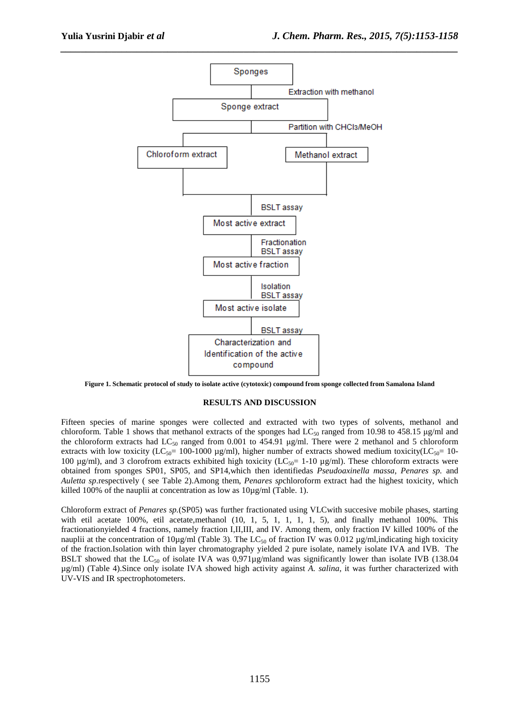

*\_\_\_\_\_\_\_\_\_\_\_\_\_\_\_\_\_\_\_\_\_\_\_\_\_\_\_\_\_\_\_\_\_\_\_\_\_\_\_\_\_\_\_\_\_\_\_\_\_\_\_\_\_\_\_\_\_\_\_\_\_\_\_\_\_\_\_\_\_\_\_\_\_\_\_\_\_\_*

**Figure 1. Schematic protocol of study to isolate active (cytotoxic) compound from sponge collected from Samalona Island** 

#### **RESULTS AND DISCUSSION**

Fifteen species of marine sponges were collected and extracted with two types of solvents, methanol and chloroform. Table 1 shows that methanol extracts of the sponges had  $LC_{50}$  ranged from 10.98 to 458.15  $\mu$ g/ml and the chloroform extracts had  $LC_{50}$  ranged from 0.001 to 454.91 µg/ml. There were 2 methanol and 5 chloroform extracts with low toxicity (LC<sub>50</sub>= 100-1000 µg/ml), higher number of extracts showed medium toxicity(LC<sub>50</sub>= 10-100  $\mu$ g/ml), and 3 clorofrom extracts exhibited high toxicity (LC<sub>50</sub>= 1-10  $\mu$ g/ml). These chloroform extracts were obtained from sponges SP01, SP05, and SP14,which then identifiedas *Pseudoaxinella massa*, *Penares sp.* and *Auletta sp*.respectively ( see Table 2).Among them, *Penares sp*chloroform extract had the highest toxicity, which killed 100% of the nauplii at concentration as low as 10µg/ml (Table. 1).

Chloroform extract of *Penares sp.*(SP05) was further fractionated using VLCwith succesive mobile phases, starting with etil acetate 100%, etil acetate,methanol (10, 1, 5, 1, 1, 1, 1, 5), and finally methanol 100%. This fractionationyielded 4 fractions, namely fraction I,II,III, and IV. Among them, only fraction IV killed 100% of the nauplii at the concentration of  $10\mu\text{g/ml}$  (Table 3). The LC<sub>50</sub> of fraction IV was 0.012  $\mu\text{g/ml}$ , indicating high toxicity of the fraction.Isolation with thin layer chromatography yielded 2 pure isolate, namely isolate IVA and IVB. The BSLT showed that the  $LC_{50}$  of isolate IVA was 0,971 $\mu$ g/mland was significantly lower than isolate IVB (138.04 µg/ml) (Table 4).Since only isolate IVA showed high activity against *A. salina*, it was further characterized with UV-VIS and IR spectrophotometers.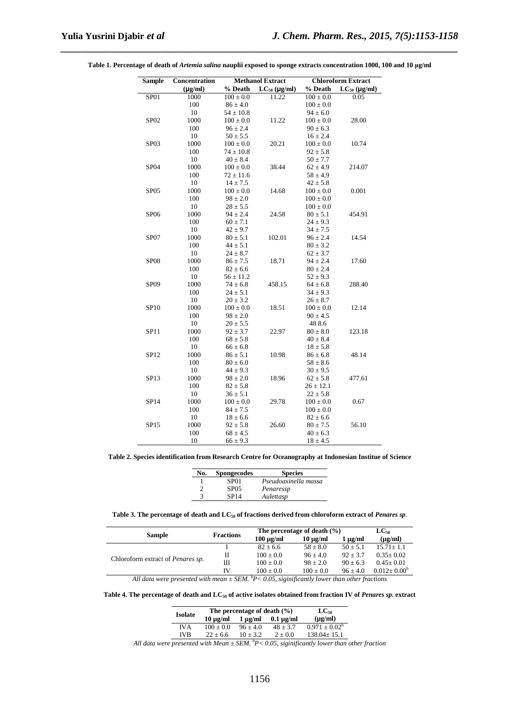| <b>Sample</b>    | Concentration | <b>Methanol Extract</b> |                   | <b>Chloroform Extract</b> |                   |
|------------------|---------------|-------------------------|-------------------|---------------------------|-------------------|
| $(\mu g/ml)$     |               | % Death                 | $LC_{50}$ (µg/ml) | % Death                   | $LC_{50}$ (µg/ml) |
| SP01             | 1000          | $100 \pm 0.0$           | 11.22             | $100 \pm 0.0$             | 0.05              |
|                  | 100           | $86 \pm 4.0$            |                   | $100 \pm 0.0$             |                   |
|                  | 10            | $54 \pm 10.8$           |                   | $94 \pm 6.0$              |                   |
| SP <sub>02</sub> | 1000          | $100 \pm 0.0$           | 11.22             | $100 \pm 0.0$             | 28.00             |
|                  | 100           | $96 \pm 2.4$            |                   | $90 \pm 6.3$              |                   |
|                  | 10            | $50 \pm 5.5$            |                   | $16 \pm 2.4$              |                   |
| SP <sub>03</sub> | 1000          | $100 \pm 0.0$           | 20.21             | $100 \pm 0.0$             | 10.74             |
|                  | 100           | $74 \pm 10.8$           |                   | $92 \pm 5.8$              |                   |
|                  | 10            | $40 \pm 8.4$            |                   | $50 \pm 7.7$              |                   |
| SP04             | 1000          | $100 \pm 0.0$           | 38.44             | $62 \pm 4.9$              | 214.07            |
|                  | 100           | $72 \pm 11.6$           |                   | $58 \pm 4.9$              |                   |
|                  | 10            | $14 \pm 7.5$            |                   | $42 \pm 5.8$              |                   |
| SP <sub>05</sub> | 1000          | $100 \pm 0.0$           | 14.68             | $100 \pm 0.0$             | 0.001             |
|                  | 100           | $98 \pm 2.0$            |                   | $100 \pm 0.0$             |                   |
|                  | 10            | $28 \pm 5.5$            |                   | $100 \pm 0.0$             |                   |
| <b>SP06</b>      | 1000          | $94 \pm 2.4$            | 24.58             | $80 \pm 5.1$              | 454.91            |
|                  | 100           | $60 \pm 7.1$            |                   | $24 \pm 9.3$              |                   |
|                  | 10            | $42 \pm 9.7$            |                   | $34 \pm 7.5$              |                   |
| SP07             | 1000          | $80 \pm 5.1$            | 102.01            | $96 \pm 2.4$              | 14.54             |
|                  | 100           | $44 \pm 5.1$            |                   | $80 \pm 3.2$              |                   |
|                  | 10            | $24 \pm 8.7$            |                   | $62 \pm 3.7$              |                   |
| <b>SP08</b>      | 1000          | $86 \pm 7.5$            | 18.71             | $94 \pm 2.4$              | 17.60             |
|                  | 100           | $82 \pm 6.6$            |                   | $80 \pm 2.4$              |                   |
|                  | 10            | $56 \pm 11.2$           |                   | $52 \pm 9.3$              |                   |
| SP <sub>09</sub> | 1000          | $74 \pm 6.8$            | 458.15            | $64 \pm 6.8$              | 288.40            |
|                  | 100           | $24 \pm 5.1$            |                   | $34 \pm 9.3$              |                   |
|                  | 10            | $20 \pm 3.2$            |                   | $26 \pm 8.7$              |                   |
| SP10             | 1000          | $100 \pm 0.0$           | 18.51             | $100 \pm 0.0$             | 12.14             |
|                  | 100           | $98 \pm 2.0$            |                   | $90 \pm 4.5$              |                   |
|                  | 10            | $20 \pm 5.5$            |                   | 488.6                     |                   |
| <b>SP11</b>      | 1000          | $92 \pm 3.7$            | 22.97             | $80 \pm 8.0$              | 123.18            |
|                  | 100           | $68 \pm 5.8$            |                   | $40 \pm 8.4$              |                   |
|                  | 10            | $66 \pm 6.8$            |                   | $18 \pm 5.8$              |                   |
| SP12             | 1000          | $86 \pm 5.1$            | 10.98             | $86 \pm 6.8$              | 48.14             |
|                  | 100           | $80 \pm 6.0$            |                   | $58 \pm 8.6$              |                   |
|                  | 10            | $44 \pm 9.3$            |                   | $30 \pm 9.5$              |                   |
| SP13             | 1000          | $98 \pm 2.0$            | 18.96             | $62 \pm 5.8$              | 477.61            |
|                  | 100           | $82 \pm 5.8$            |                   | $26 \pm 12.1$             |                   |
|                  | 10            | $36 \pm 5.1$            |                   | $22 \pm 5.8$              |                   |
| SP14             | 1000          | $100 \pm 0.0$           | 29.78             | $100 \pm 0.0$             | 0.67              |
|                  | 100           | $84 \pm 7.5$            |                   | $100 \pm 0.0$             |                   |
|                  | 10            | $18 \pm 6.6$            |                   | $82 \pm 6.6$              |                   |
| SP15             | 1000          | $92 \pm 5.8$            | 26.60             | $80 \pm 7.5$              | 56.10             |
|                  | 100           | $68 \pm 4.5$            |                   | $40 \pm 6.3$              |                   |
|                  | 10            | $66 \pm 9.3$            |                   | $18 \pm 4.5$              |                   |

**Table 1. Percentage of death of** *Artemia salina* **nauplii exposed to sponge extracts concentration 1000, 100 and 10 µg/ml** 

*\_\_\_\_\_\_\_\_\_\_\_\_\_\_\_\_\_\_\_\_\_\_\_\_\_\_\_\_\_\_\_\_\_\_\_\_\_\_\_\_\_\_\_\_\_\_\_\_\_\_\_\_\_\_\_\_\_\_\_\_\_\_\_\_\_\_\_\_\_\_\_\_\_\_\_\_\_\_*

**Table 2. Species identification from Research Centre for Oceanography at Indonesian Institue of Science** 

| No. | <b>Spongecodes</b> | <b>Species</b>       |
|-----|--------------------|----------------------|
|     | SP <sub>01</sub>   | Pseudoaxinella massa |
|     | <b>SP05</b>        | Penaressp            |
|     | SP14               | Aulettasp            |

#### **Table 3. The percentage of death and LC50 of fractions derived from chloroform extract of** *Penares sp.*

| <b>Fractions</b> | The percentage of death $(\% )$ |               |              | $LC_{50}$          |
|------------------|---------------------------------|---------------|--------------|--------------------|
|                  | $100 \mu g/ml$                  | $10 \mu g/ml$ | $1 \mu$ g/ml | $(\mu g/ml)$       |
|                  | $82 + 6.6$                      | $58 + 8.0$    | $50 \pm 5.1$ | $15.71 + 1.1$      |
| П                | $100 \pm 0.0$                   | $96 + 4.0$    | $92 + 3.7$   | $0.35 \pm 0.02$    |
| Ш                | $100 + 0.0$                     | $98 + 2.0$    | $90 + 6.3$   | $0.45 \pm 0.01$    |
| IV               | $100 + 0.0$                     | $100 \pm 0.0$ | $96 + 4.0$   | $0.012 \pm 0.00^b$ |
|                  |                                 |               |              |                    |

**Table 4. The percentage of death and LC50 of active isolates obtained from fraction IV of** *Penares sp.* **extract** 

| <b>Isolate</b> | The percentage of death $(\% )$ | $LC_{50}$    |                |                    |
|----------------|---------------------------------|--------------|----------------|--------------------|
|                | $10 \text{ u}$ g/ml             | $1 \mu g/ml$ | $0.1 \mu g/ml$ | $(\mu g/ml)$       |
| IVA            | $100 + 0.0$                     | $96 + 4.0$   | $48 + 3.7$     | $0.971 \pm 0.02^b$ |
| <b>IVB</b>     | $22 + 6.6$                      | $10 + 3.2$   | $2 + 0.0$      | $138.04 + 15.1$    |

*All data were presented with Mean ± SEM. <sup>b</sup>P< 0.05, siginificantly lower than other fraction*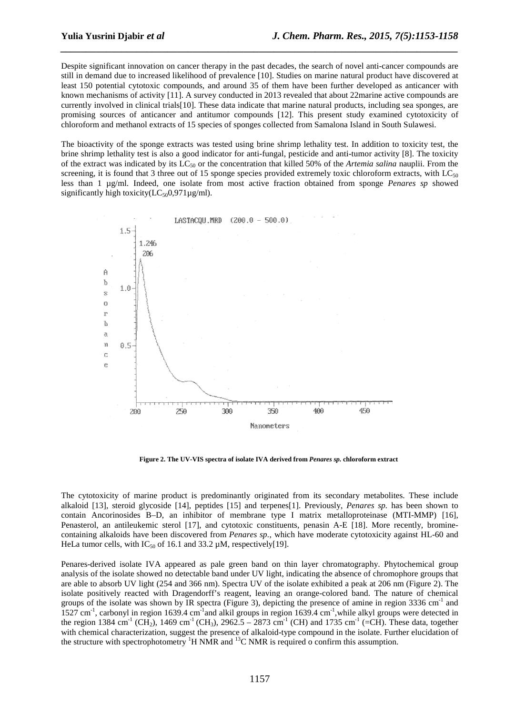Despite significant innovation on cancer therapy in the past decades, the search of novel anti-cancer compounds are still in demand due to increased likelihood of prevalence [10]. Studies on marine natural product have discovered at least 150 potential cytotoxic compounds, and around 35 of them have been further developed as anticancer with known mechanisms of activity [11]. A survey conducted in 2013 revealed that about 22marine active compounds are currently involved in clinical trials[10]. These data indicate that marine natural products, including sea sponges, are promising sources of anticancer and antitumor compounds [12]. This present study examined cytotoxicity of chloroform and methanol extracts of 15 species of sponges collected from Samalona Island in South Sulawesi.

*\_\_\_\_\_\_\_\_\_\_\_\_\_\_\_\_\_\_\_\_\_\_\_\_\_\_\_\_\_\_\_\_\_\_\_\_\_\_\_\_\_\_\_\_\_\_\_\_\_\_\_\_\_\_\_\_\_\_\_\_\_\_\_\_\_\_\_\_\_\_\_\_\_\_\_\_\_\_*

The bioactivity of the sponge extracts was tested using brine shrimp lethality test. In addition to toxicity test, the brine shrimp lethality test is also a good indicator for anti-fungal, pesticide and anti-tumor activity [8]. The toxicity of the extract was indicated by its LC50 or the concentration that killed 50% of the *Artemia salina* nauplii. From the screening, it is found that 3 three out of 15 sponge species provided extremely toxic chloroform extracts, with  $LC_{50}$ less than 1 µg/ml. Indeed, one isolate from most active fraction obtained from sponge *Penares sp* showed significantly high toxicity $(LC_{50}0.971\mu g/ml)$ .



**Figure 2. The UV-VIS spectra of isolate IVA derived from** *Penares sp.* **chloroform extract**

The cytotoxicity of marine product is predominantly originated from its secondary metabolites. These include alkaloid [13], steroid glycoside [14], peptides [15] and terpenes[1]. Previously, *Penares sp.* has been shown to contain Ancorinosides B–D, an inhibitor of membrane type I matrix metalloproteinase (MTI-MMP) [16], Penasterol, an antileukemic sterol [17], and cytotoxic constituents, penasin A-E [18]. More recently, brominecontaining alkaloids have been discovered from *Penares sp.*, which have moderate cytotoxicity against HL-60 and HeLa tumor cells, with IC<sub>50</sub> of 16.1 and 33.2  $\mu$ M, respectively[19].

Penares-derived isolate IVA appeared as pale green band on thin layer chromatography. Phytochemical group analysis of the isolate showed no detectable band under UV light, indicating the absence of chromophore groups that are able to absorb UV light (254 and 366 nm). Spectra UV of the isolate exhibited a peak at 206 nm (Figure 2). The isolate positively reacted with Dragendorff's reagent, leaving an orange-colored band. The nature of chemical groups of the isolate was shown by IR spectra (Figure 3), depicting the presence of amine in region  $3336 \text{ cm}^1$  and 1527 cm<sup>-1</sup>, carbonyl in region 1639.4 cm<sup>-1</sup>and alkil groups in region 1639.4 cm<sup>-1</sup>, while alkyl groups were detected in the region 1384 cm<sup>-1</sup> (CH<sub>2</sub>), 1469 cm<sup>-1</sup> (CH<sub>3</sub>), 2962.5 – 2873 cm<sup>-1</sup> (CH) and 1735 cm<sup>-1</sup> (=CH). These data, together with chemical characterization, suggest the presence of alkaloid-type compound in the isolate. Further elucidation of the structure with spectrophotometry  ${}^{1}H$  NMR and  ${}^{13}C$  NMR is required o confirm this assumption.